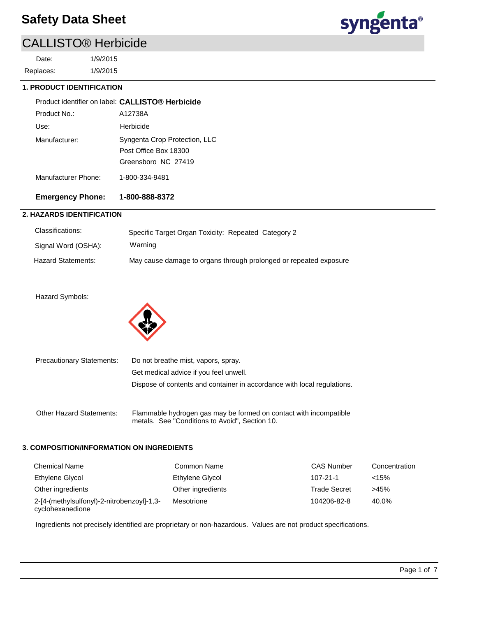# CALLISTO® Herbicide

1/9/2015 1/9/2015 Replaces: Date:



# **1. PRODUCT IDENTIFICATION**

|                     | Product identifier on label: CALLISTO® Herbicide                              |
|---------------------|-------------------------------------------------------------------------------|
| Product No.:        | A12738A                                                                       |
| Use:                | Herbicide                                                                     |
| Manufacturer:       | Syngenta Crop Protection, LLC<br>Post Office Box 18300<br>Greensboro NC 27419 |
| Manufacturer Phone: | 1-800-334-9481                                                                |

# **Emergency Phone: 1-800-888-8372**

# **2. HAZARDS IDENTIFICATION**

| Classifications:    | Specific Target Organ Toxicity: Repeated Category 2               |
|---------------------|-------------------------------------------------------------------|
| Signal Word (OSHA): | Warning                                                           |
| Hazard Statements:  | May cause damage to organs through prolonged or repeated exposure |

### Hazard Symbols:



| <b>Precautionary Statements:</b> | Do not breathe mist, vapors, spray.                                                                                 |  |  |  |
|----------------------------------|---------------------------------------------------------------------------------------------------------------------|--|--|--|
|                                  | Get medical advice if you feel unwell.                                                                              |  |  |  |
|                                  | Dispose of contents and container in accordance with local regulations.                                             |  |  |  |
| <b>Other Hazard Statements:</b>  | Flammable hydrogen gas may be formed on contact with incompatible<br>metals. See "Conditions to Avoid", Section 10. |  |  |  |

# **3. COMPOSITION/INFORMATION ON INGREDIENTS**

| <b>Chemical Name</b>                                           | Common Name       | <b>CAS Number</b>   | Concentration |
|----------------------------------------------------------------|-------------------|---------------------|---------------|
| Ethylene Glycol                                                | Ethylene Glycol   | $107 - 21 - 1$      | < 15%         |
| Other ingredients                                              | Other ingredients | <b>Trade Secret</b> | >45%          |
| 2-[4-(methylsulfonyl)-2-nitrobenzoyl]-1,3-<br>cyclohexanedione | Mesotrione        | 104206-82-8         | 40.0%         |

Ingredients not precisely identified are proprietary or non-hazardous. Values are not product specifications.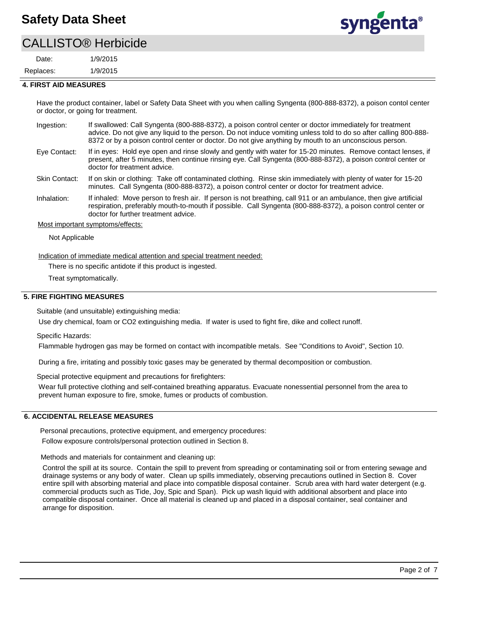# CALLISTO® Herbicide

1/9/2015 1/9/2015 Replaces: Date:



#### **4. FIRST AID MEASURES**

Have the product container, label or Safety Data Sheet with you when calling Syngenta (800-888-8372), a poison contol center or doctor, or going for treatment.

- If swallowed: Call Syngenta (800-888-8372), a poison control center or doctor immediately for treatment advice. Do not give any liquid to the person. Do not induce vomiting unless told to do so after calling 800-888- 8372 or by a poison control center or doctor. Do not give anything by mouth to an unconscious person. Ingestion:
- If in eyes: Hold eye open and rinse slowly and gently with water for 15-20 minutes. Remove contact lenses, if present, after 5 minutes, then continue rinsing eye. Call Syngenta (800-888-8372), a poison control center or doctor for treatment advice. Eye Contact:
- If on skin or clothing: Take off contaminated clothing. Rinse skin immediately with plenty of water for 15-20 minutes. Call Syngenta (800-888-8372), a poison control center or doctor for treatment advice. Skin Contact:
- If inhaled: Move person to fresh air. If person is not breathing, call 911 or an ambulance, then give artificial respiration, preferably mouth-to-mouth if possible. Call Syngenta (800-888-8372), a poison control center or doctor for further treatment advice. Inhalation:

#### Most important symptoms/effects:

Not Applicable

Indication of immediate medical attention and special treatment needed:

There is no specific antidote if this product is ingested.

Treat symptomatically.

### **5. FIRE FIGHTING MEASURES**

Suitable (and unsuitable) extinguishing media:

Use dry chemical, foam or CO2 extinguishing media. If water is used to fight fire, dike and collect runoff.

Specific Hazards:

Flammable hydrogen gas may be formed on contact with incompatible metals. See "Conditions to Avoid", Section 10.

During a fire, irritating and possibly toxic gases may be generated by thermal decomposition or combustion.

Special protective equipment and precautions for firefighters:

Wear full protective clothing and self-contained breathing apparatus. Evacuate nonessential personnel from the area to prevent human exposure to fire, smoke, fumes or products of combustion.

#### **6. ACCIDENTAL RELEASE MEASURES**

Personal precautions, protective equipment, and emergency procedures:

Follow exposure controls/personal protection outlined in Section 8.

Methods and materials for containment and cleaning up:

Control the spill at its source. Contain the spill to prevent from spreading or contaminating soil or from entering sewage and drainage systems or any body of water. Clean up spills immediately, observing precautions outlined in Section 8. Cover entire spill with absorbing material and place into compatible disposal container. Scrub area with hard water detergent (e.g. commercial products such as Tide, Joy, Spic and Span). Pick up wash liquid with additional absorbent and place into compatible disposal container. Once all material is cleaned up and placed in a disposal container, seal container and arrange for disposition.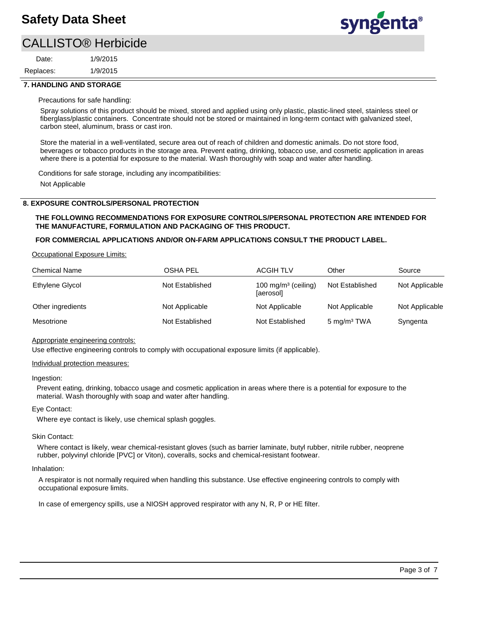# syngenta®

# CALLISTO® Herbicide

1/9/2015 1/9/2015 Replaces: Date:

### **7. HANDLING AND STORAGE**

Precautions for safe handling:

Spray solutions of this product should be mixed, stored and applied using only plastic, plastic-lined steel, stainless steel or fiberglass/plastic containers. Concentrate should not be stored or maintained in long-term contact with galvanized steel, carbon steel, aluminum, brass or cast iron.

Store the material in a well-ventilated, secure area out of reach of children and domestic animals. Do not store food, beverages or tobacco products in the storage area. Prevent eating, drinking, tobacco use, and cosmetic application in areas where there is a potential for exposure to the material. Wash thoroughly with soap and water after handling.

Conditions for safe storage, including any incompatibilities:

Not Applicable

# **8. EXPOSURE CONTROLS/PERSONAL PROTECTION**

### **THE FOLLOWING RECOMMENDATIONS FOR EXPOSURE CONTROLS/PERSONAL PROTECTION ARE INTENDED FOR THE MANUFACTURE, FORMULATION AND PACKAGING OF THIS PRODUCT.**

### **FOR COMMERCIAL APPLICATIONS AND/OR ON-FARM APPLICATIONS CONSULT THE PRODUCT LABEL.**

Occupational Exposure Limits:

| <b>Chemical Name</b> | OSHA PEL        | <b>ACGIH TLV</b>                             | Other                   | Source         |
|----------------------|-----------------|----------------------------------------------|-------------------------|----------------|
| Ethylene Glycol      | Not Established | 100 mg/m <sup>3</sup> (ceiling)<br>[aerosol] | Not Established         | Not Applicable |
| Other ingredients    | Not Applicable  | Not Applicable                               | Not Applicable          | Not Applicable |
| Mesotrione           | Not Established | Not Established                              | 5 mg/m <sup>3</sup> TWA | Syngenta       |

#### Appropriate engineering controls:

Use effective engineering controls to comply with occupational exposure limits (if applicable).

### Individual protection measures:

#### Ingestion:

Prevent eating, drinking, tobacco usage and cosmetic application in areas where there is a potential for exposure to the material. Wash thoroughly with soap and water after handling.

### Eye Contact:

Where eye contact is likely, use chemical splash goggles.

#### Skin Contact:

Where contact is likely, wear chemical-resistant gloves (such as barrier laminate, butyl rubber, nitrile rubber, neoprene rubber, polyvinyl chloride [PVC] or Viton), coveralls, socks and chemical-resistant footwear.

#### Inhalation:

A respirator is not normally required when handling this substance. Use effective engineering controls to comply with occupational exposure limits.

In case of emergency spills, use a NIOSH approved respirator with any N, R, P or HE filter.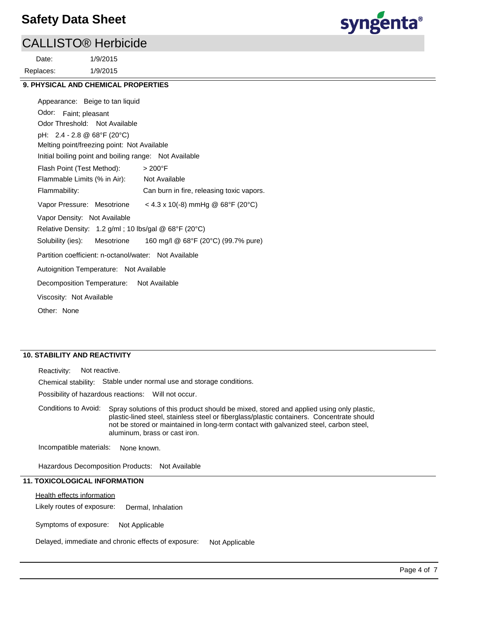# CALLISTO® Herbicide

1/9/2015 1/9/2015 Replaces: Date:



### **9. PHYSICAL AND CHEMICAL PROPERTIES**

Odor: Faint; pleasant Appearance: Beige to tan liquid Vapor Pressure: Mesotrione Solubility (ies): pH: 2.4 - 2.8 @ 68°F (20°C) Initial boiling point and boiling range: Not Available Melting point/freezing point: Not Available Odor Threshold: Not Available Not Available Flammability: Can burn in fire, releasing toxic vapors. > 200°F Autoignition Temperature: Not Available Flash Point (Test Method): Flammable Limits (% in Air): Vapor Density: Not Available Relative Density: 1.2 g/ml ; 10 lbs/gal @ 68°F (20°C) Decomposition Temperature: Not Available Viscosity: Not Available Partition coefficient: n-octanol/water: Not Available Other: None  $<$  4.3 x 10(-8) mmHg @ 68°F (20°C) Mesotrione 160 mg/l @ 68°F (20°C) (99.7% pure)

### **10. STABILITY AND REACTIVITY**

Possibility of hazardous reactions: Will not occur. Chemical stability: Stable under normal use and storage conditions. Reactivity: Not reactive. Conditions to Avoid: Spray solutions of this product should be mixed, stored and applied using only plastic, plastic-lined steel, stainless steel or fiberglass/plastic containers. Concentrate should not be stored or maintained in long-term contact with galvanized steel, carbon steel, aluminum, brass or cast iron.

Incompatible materials: None known.

Hazardous Decomposition Products: Not Available

# **11. TOXICOLOGICAL INFORMATION**

Health effects information

Likely routes of exposure: Dermal, Inhalation

Symptoms of exposure: Not Applicable

Delayed, immediate and chronic effects of exposure: Not Applicable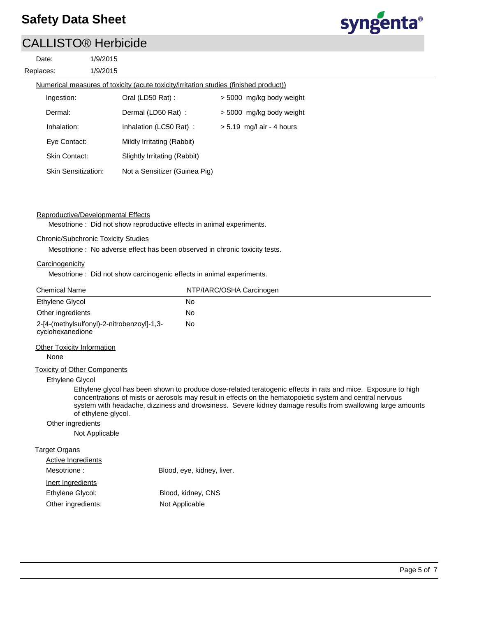# CALLISTO® Herbicide

Replaces: Date:

```
1/9/2015
1/9/2015
```


# Numerical measures of toxicity (acute toxicity/irritation studies (finished product))

| Ingestion:                 | Oral (LD50 Rat):              | > 5000 mg/kg body weight    |
|----------------------------|-------------------------------|-----------------------------|
| Dermal:                    | Dermal (LD50 Rat):            | > 5000 mg/kg body weight    |
| Inhalation:                | Inhalation (LC50 Rat):        | $> 5.19$ mg/l air - 4 hours |
| Eye Contact:               | Mildly Irritating (Rabbit)    |                             |
| Skin Contact:              | Slightly Irritating (Rabbit)  |                             |
| <b>Skin Sensitization:</b> | Not a Sensitizer (Guinea Pig) |                             |

### Reproductive/Developmental Effects

Mesotrione : Did not show reproductive effects in animal experiments.

# Chronic/Subchronic Toxicity Studies

Mesotrione : No adverse effect has been observed in chronic toxicity tests.

# **Carcinogenicity**

Mesotrione : Did not show carcinogenic effects in animal experiments.

| <b>Chemical Name</b>                                           | NTP/IARC/OSHA Carcinogen                                                                                                                                                                                                                                                                                                                 |
|----------------------------------------------------------------|------------------------------------------------------------------------------------------------------------------------------------------------------------------------------------------------------------------------------------------------------------------------------------------------------------------------------------------|
| Ethylene Glycol                                                | No                                                                                                                                                                                                                                                                                                                                       |
| Other ingredients                                              | No                                                                                                                                                                                                                                                                                                                                       |
| 2-[4-(methylsulfonyl)-2-nitrobenzoyl]-1,3-<br>cyclohexanedione | <b>No</b>                                                                                                                                                                                                                                                                                                                                |
| <b>Other Toxicity Information</b><br>None                      |                                                                                                                                                                                                                                                                                                                                          |
| <b>Toxicity of Other Components</b>                            |                                                                                                                                                                                                                                                                                                                                          |
| Ethylene Glycol                                                |                                                                                                                                                                                                                                                                                                                                          |
| of ethylene glycol.                                            | Ethylene glycol has been shown to produce dose-related teratogenic effects in rats and mice. Exposure to high<br>concentrations of mists or aerosols may result in effects on the hematopoietic system and central nervous<br>system with headache, dizziness and drowsiness. Severe kidney damage results from swallowing large amounts |
| Other ingredients                                              |                                                                                                                                                                                                                                                                                                                                          |
| Not Applicable                                                 |                                                                                                                                                                                                                                                                                                                                          |
| <b>Target Organs</b>                                           |                                                                                                                                                                                                                                                                                                                                          |
| Active Ingredients                                             |                                                                                                                                                                                                                                                                                                                                          |
| Mesotrione:                                                    | Blood, eye, kidney, liver.                                                                                                                                                                                                                                                                                                               |
| <b>Inert Ingredients</b>                                       |                                                                                                                                                                                                                                                                                                                                          |
| Ethylene Glycol:                                               | Blood, kidney, CNS                                                                                                                                                                                                                                                                                                                       |
| Other ingredients:<br>Not Applicable                           |                                                                                                                                                                                                                                                                                                                                          |
|                                                                |                                                                                                                                                                                                                                                                                                                                          |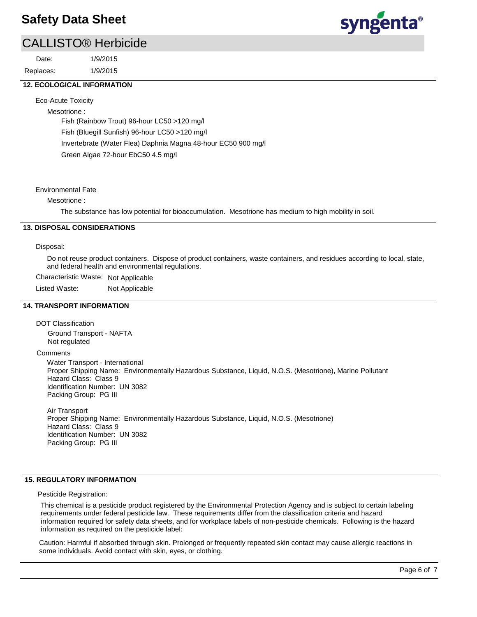# CALLISTO® Herbicide

1/9/2015 1/9/2015 Replaces: Date:

### **12. ECOLOGICAL INFORMATION**

Eco-Acute Toxicity

Mesotrione : Fish (Rainbow Trout) 96-hour LC50 >120 mg/l Fish (Bluegill Sunfish) 96-hour LC50 >120 mg/l Invertebrate (Water Flea) Daphnia Magna 48-hour EC50 900 mg/l Green Algae 72-hour EbC50 4.5 mg/l

### Environmental Fate

Mesotrione :

The substance has low potential for bioaccumulation. Mesotrione has medium to high mobility in soil.

### **13. DISPOSAL CONSIDERATIONS**

#### Disposal:

Do not reuse product containers. Dispose of product containers, waste containers, and residues according to local, state, and federal health and environmental regulations.

Characteristic Waste: Not Applicable

Listed Waste: Not Applicable

# **14. TRANSPORT INFORMATION**

#### DOT Classification

Ground Transport - NAFTA Not regulated

#### **Comments**

Water Transport - International Proper Shipping Name: Environmentally Hazardous Substance, Liquid, N.O.S. (Mesotrione), Marine Pollutant Hazard Class: Class 9 Identification Number: UN 3082 Packing Group: PG III

Air Transport Proper Shipping Name: Environmentally Hazardous Substance, Liquid, N.O.S. (Mesotrione) Hazard Class: Class 9 Identification Number: UN 3082 Packing Group: PG III

### **15. REGULATORY INFORMATION**

Pesticide Registration:

This chemical is a pesticide product registered by the Environmental Protection Agency and is subject to certain labeling requirements under federal pesticide law. These requirements differ from the classification criteria and hazard information required for safety data sheets, and for workplace labels of non-pesticide chemicals. Following is the hazard information as required on the pesticide label:

Caution: Harmful if absorbed through skin. Prolonged or frequently repeated skin contact may cause allergic reactions in some individuals. Avoid contact with skin, eyes, or clothing.

syngenta®